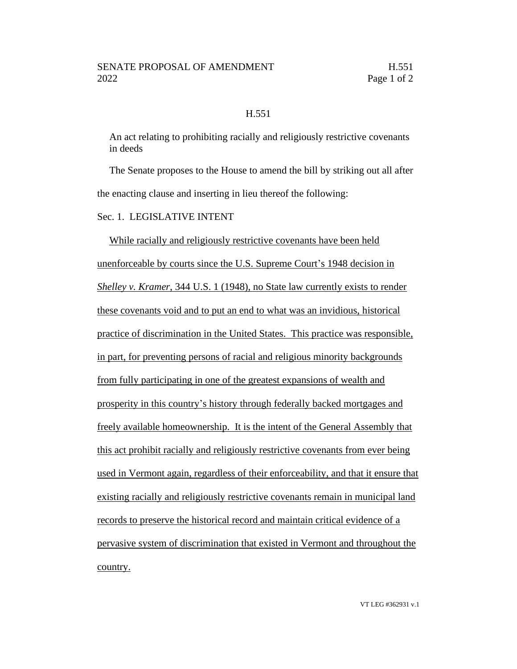## H.551

An act relating to prohibiting racially and religiously restrictive covenants in deeds

The Senate proposes to the House to amend the bill by striking out all after the enacting clause and inserting in lieu thereof the following:

Sec. 1. LEGISLATIVE INTENT

While racially and religiously restrictive covenants have been held unenforceable by courts since the U.S. Supreme Court's 1948 decision in *Shelley v. Kramer*, 344 U.S. 1 (1948), no State law currently exists to render these covenants void and to put an end to what was an invidious, historical practice of discrimination in the United States. This practice was responsible, in part, for preventing persons of racial and religious minority backgrounds from fully participating in one of the greatest expansions of wealth and prosperity in this country's history through federally backed mortgages and freely available homeownership. It is the intent of the General Assembly that this act prohibit racially and religiously restrictive covenants from ever being used in Vermont again, regardless of their enforceability, and that it ensure that existing racially and religiously restrictive covenants remain in municipal land records to preserve the historical record and maintain critical evidence of a pervasive system of discrimination that existed in Vermont and throughout the country.